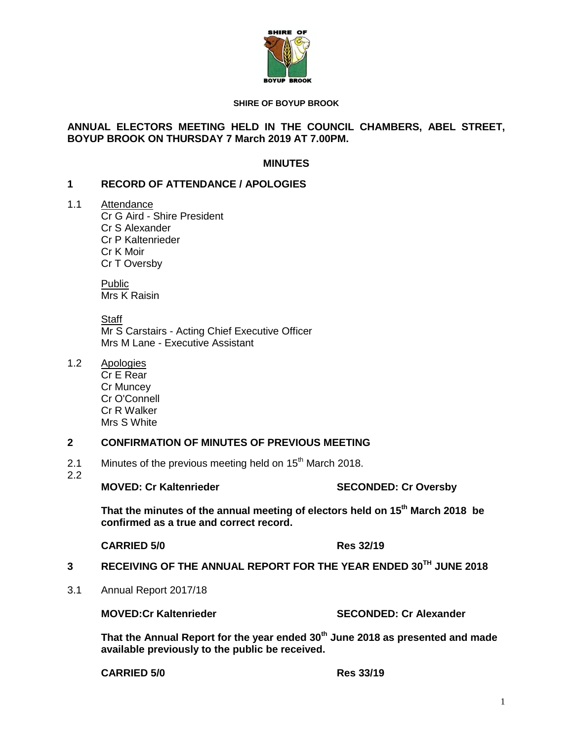

#### **SHIRE OF BOYUP BROOK**

## **ANNUAL ELECTORS MEETING HELD IN THE COUNCIL CHAMBERS, ABEL STREET, BOYUP BROOK ON THURSDAY 7 March 2019 AT 7.00PM.**

## **MINUTES**

#### **1 RECORD OF ATTENDANCE / APOLOGIES**

1.1 Attendance

Cr G Aird - Shire President Cr S Alexander Cr P Kaltenrieder Cr K Moir Cr T Oversby

Public Mrs K Raisin

**Staff** Mr S Carstairs - Acting Chief Executive Officer Mrs M Lane - Executive Assistant

1.2 Apologies

Cr E Rear Cr Muncey Cr O'Connell Cr R Walker Mrs S White

## **2 CONFIRMATION OF MINUTES OF PREVIOUS MEETING**

2.1 Minutes of the previous meeting held on  $15<sup>th</sup>$  March 2018.

2.2

#### **MOVED: Cr Kaltenrieder SECONDED: Cr Oversby**

**That the minutes of the annual meeting of electors held on 15 th March 2018 be confirmed as a true and correct record.**

**CARRIED 5/0 Res 32/19**

- **3 RECEIVING OF THE ANNUAL REPORT FOR THE YEAR ENDED 30TH JUNE 2018**
- 3.1 Annual Report 2017/18

**MOVED:Cr Kaltenrieder SECONDED: Cr Alexander**

**That the Annual Report for the year ended 30th June 2018 as presented and made available previously to the public be received.**

**CARRIED 5/0 Res 33/19**